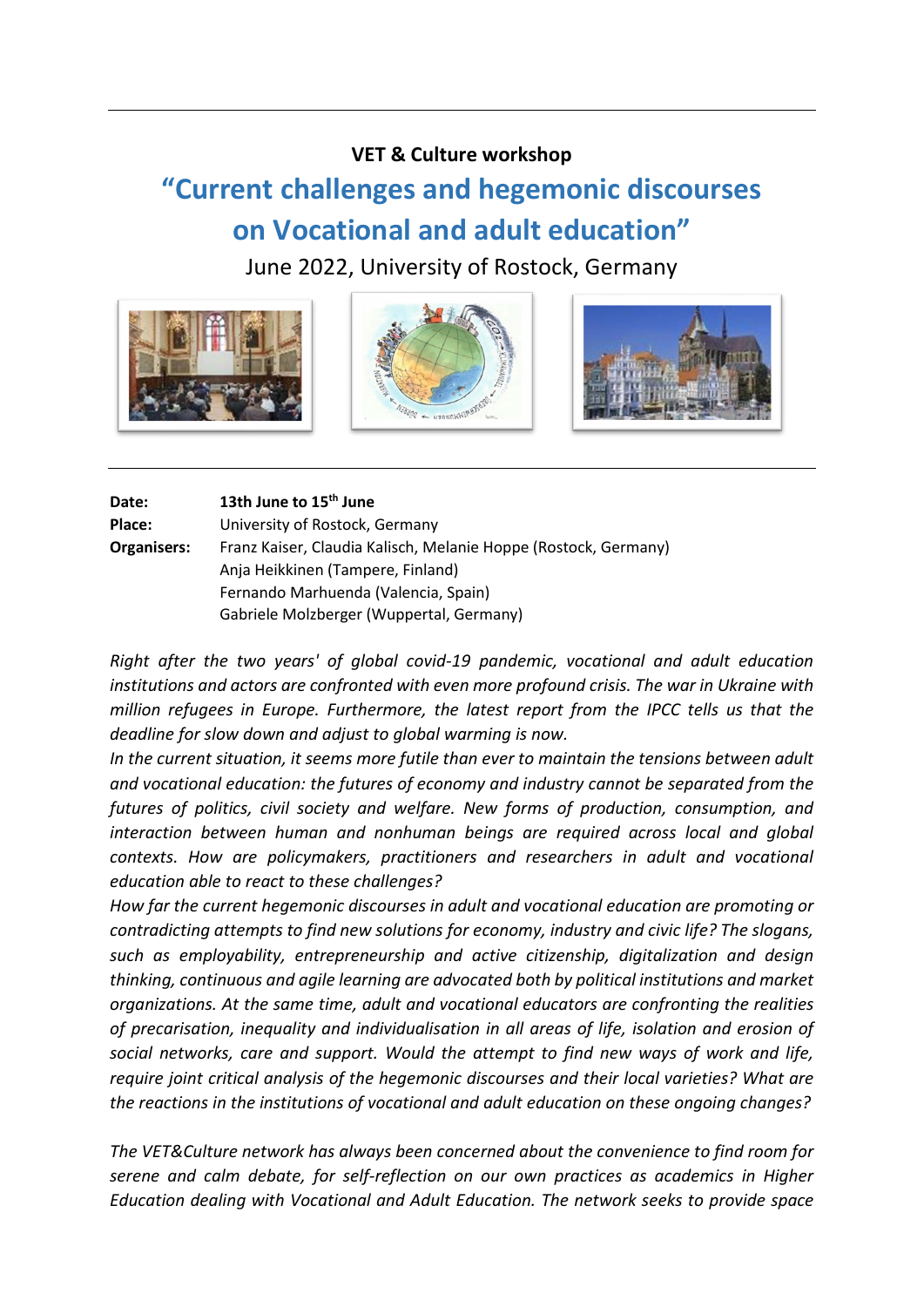## **VET & Culture workshop**

# **"Current challenges and hegemonic discourses on Vocational and adult education"**

June 2022, University of Rostock, Germany



| Date:       | 13th June to 15 <sup>th</sup> June                              |
|-------------|-----------------------------------------------------------------|
| Place:      | University of Rostock, Germany                                  |
| Organisers: | Franz Kaiser, Claudia Kalisch, Melanie Hoppe (Rostock, Germany) |
|             | Anja Heikkinen (Tampere, Finland)                               |
|             | Fernando Marhuenda (Valencia, Spain)                            |
|             | Gabriele Molzberger (Wuppertal, Germany)                        |

*Right after the two years' of global covid-19 pandemic, vocational and adult education institutions and actors are confronted with even more profound crisis. The war in Ukraine with million refugees in Europe. Furthermore, the latest report from the IPCC tells us that the deadline for slow down and adjust to global warming is now.*

*In the current situation, it seems more futile than ever to maintain the tensions between adult and vocational education: the futures of economy and industry cannot be separated from the futures of politics, civil society and welfare. New forms of production, consumption, and interaction between human and nonhuman beings are required across local and global contexts. How are policymakers, practitioners and researchers in adult and vocational education able to react to these challenges?*

*How far the current hegemonic discourses in adult and vocational education are promoting or contradicting attempts to find new solutions for economy, industry and civic life? The slogans, such as employability, entrepreneurship and active citizenship, digitalization and design thinking, continuous and agile learning are advocated both by political institutions and market organizations. At the same time, adult and vocational educators are confronting the realities of precarisation, inequality and individualisation in all areas of life, isolation and erosion of social networks, care and support. Would the attempt to find new ways of work and life, require joint critical analysis of the hegemonic discourses and their local varieties? What are the reactions in the institutions of vocational and adult education on these ongoing changes?*

*The VET&Culture network has always been concerned about the convenience to find room for serene and calm debate, for self-reflection on our own practices as academics in Higher Education dealing with Vocational and Adult Education. The network seeks to provide space*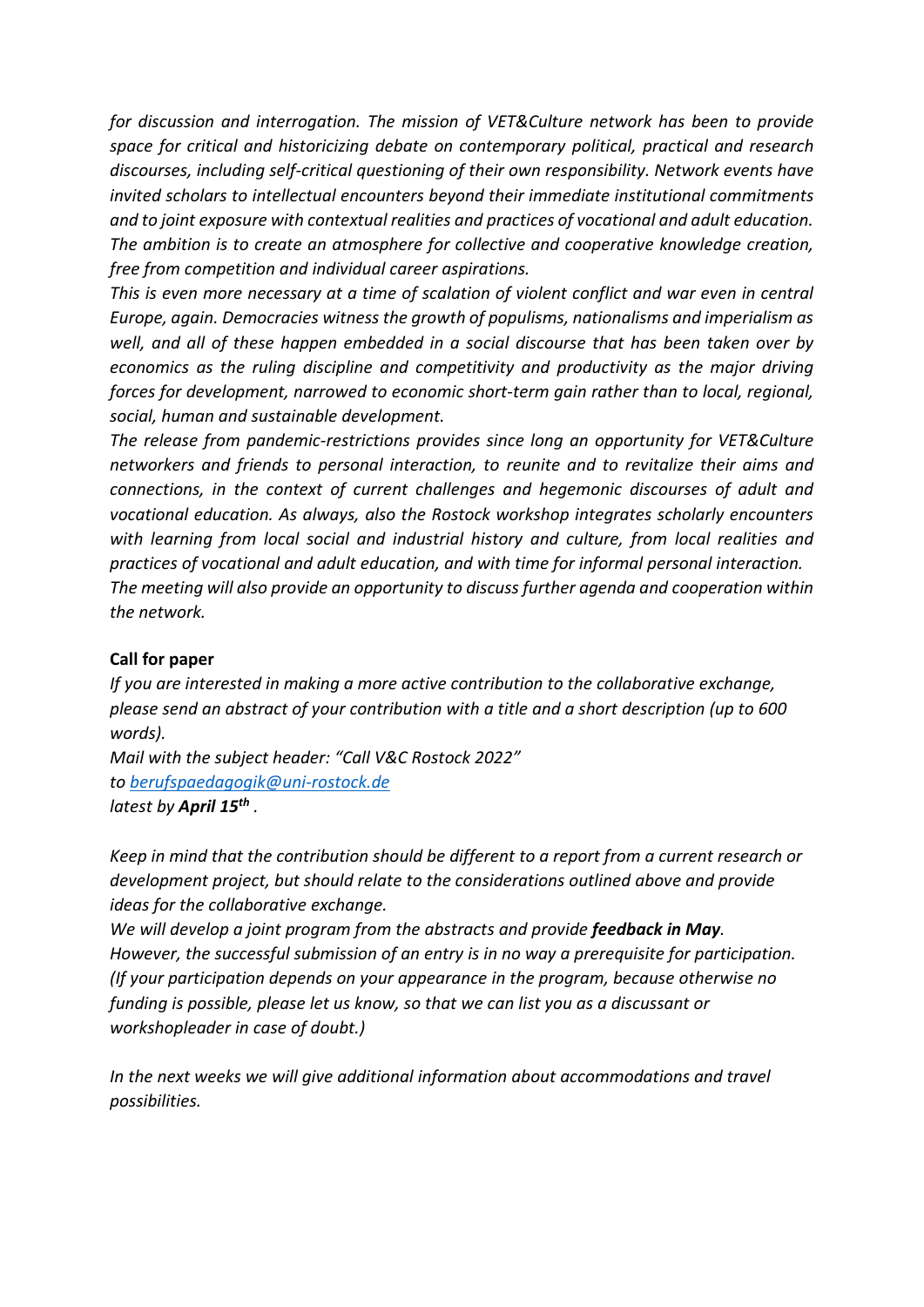*for discussion and interrogation. The mission of VET&Culture network has been to provide space for critical and historicizing debate on contemporary political, practical and research discourses, including self-critical questioning of their own responsibility. Network events have invited scholars to intellectual encounters beyond their immediate institutional commitments and to joint exposure with contextual realities and practices of vocational and adult education. The ambition is to create an atmosphere for collective and cooperative knowledge creation, free from competition and individual career aspirations.*

*This is even more necessary at a time of scalation of violent conflict and war even in central Europe, again. Democracies witness the growth of populisms, nationalisms and imperialism as well, and all of these happen embedded in a social discourse that has been taken over by economics as the ruling discipline and competitivity and productivity as the major driving forces for development, narrowed to economic short-term gain rather than to local, regional, social, human and sustainable development.* 

*The release from pandemic-restrictions provides since long an opportunity for VET&Culture networkers and friends to personal interaction, to reunite and to revitalize their aims and connections, in the context of current challenges and hegemonic discourses of adult and vocational education. As always, also the Rostock workshop integrates scholarly encounters with learning from local social and industrial history and culture, from local realities and practices of vocational and adult education, and with time for informal personal interaction. The meeting will also provide an opportunity to discuss further agenda and cooperation within the network.*

### **Call for paper**

*If you are interested in making a more active contribution to the collaborative exchange, please send an abstract of your contribution with a title and a short description (up to 600 words).*

*Mail with the subject header: "Call V&C Rostock 2022" t[o berufspaedagogik@uni-rostock.de](mailto:berufspaedagogik@uni-rostock.de) latest by April 15th .*

*Keep in mind that the contribution should be different to a report from a current research or development project, but should relate to the considerations outlined above and provide ideas for the collaborative exchange.*

*We will develop a joint program from the abstracts and provide feedback in May. However, the successful submission of an entry is in no way a prerequisite for participation. (If your participation depends on your appearance in the program, because otherwise no funding is possible, please let us know, so that we can list you as a discussant or workshopleader in case of doubt.)*

*In the next weeks we will give additional information about accommodations and travel possibilities.*